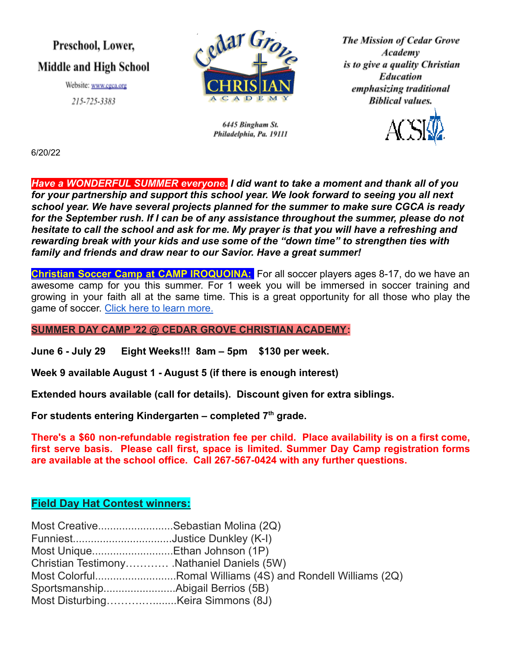## Preschool, Lower, **Middle and High School**

Website: www.cgca.org 215-725-3383



6445 Bingham St. Philadelphia, Pa. 19111 **The Mission of Cedar Grove** Academy is to give a quality Christian **Education** emphasizing traditional **Biblical values.** 



6/20/22

*Have a WONDERFUL SUMMER everyone. I did want to take a moment and thank all of you for your partnership and support this school year. We look forward to seeing you all next school year. We have several projects planned for the summer to make sure CGCA is ready for the September rush. If I can be of any assistance throughout the summer, please do not hesitate to call the school and ask for me. My prayer is that you will have a refreshing and rewarding break with your kids and use some of the "down time" to strengthen ties with family and friends and draw near to our Savior. Have a great summer!*

**Christian Soccer Camp at CAMP IROQUOINA:** For all soccer players ages 8-17, do we have an awesome camp for you this summer. For 1 week you will be immersed in soccer training and growing in your faith all at the same time. This is a great opportunity for all those who play the game of soccer. [Click here to learn more.](http://iroquoina.org/summer-camps/soccer-camp/)

**SUMMER DAY CAMP '22 @ CEDAR GROVE CHRISTIAN ACADEMY:**

**June 6 - July 29 Eight Weeks!!! 8am – 5pm \$130 per week.**

**Week 9 available August 1 - August 5 (if there is enough interest)**

**Extended hours available (call for details). Discount given for extra siblings.**

**For students entering Kindergarten – completed 7th grade.**

**There's a \$60 non-refundable registration fee per child. Place availability is on a first come, first serve basis. Please call first, space is limited. Summer Day Camp registration forms are available at the school office. Call 267-567-0424 with any further questions.**

### **Field Day Hat Contest winners:**

| Most CreativeSebastian Molina (2Q)         |                                                            |
|--------------------------------------------|------------------------------------------------------------|
| FunniestJustice Dunkley (K-I)              |                                                            |
| Most UniqueEthan Johnson (1P)              |                                                            |
| Christian Testimony Nathaniel Daniels (5W) |                                                            |
|                                            | Most ColorfulRomal Williams (4S) and Rondell Williams (2Q) |
|                                            |                                                            |
|                                            |                                                            |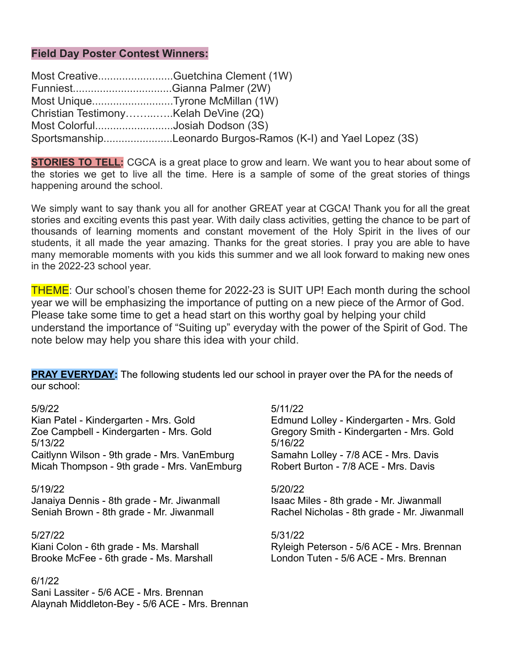#### **Field Day Poster Contest Winners:**

|                                      | Most CreativeGuetchina Clement (1W)                          |
|--------------------------------------|--------------------------------------------------------------|
|                                      |                                                              |
|                                      | Most UniqueTyrone McMillan (1W)                              |
| Christian TestimonyKelah DeVine (2Q) |                                                              |
|                                      | Most ColorfulJosiah Dodson (3S)                              |
|                                      | SportsmanshipLeonardo Burgos-Ramos (K-I) and Yael Lopez (3S) |

**STORIES TO TELL:** CGCA is a great place to grow and learn. We want you to hear about some of the stories we get to live all the time. Here is a sample of some of the great stories of things happening around the school.

We simply want to say thank you all for another GREAT year at CGCA! Thank you for all the great stories and exciting events this past year. With daily class activities, getting the chance to be part of thousands of learning moments and constant movement of the Holy Spirit in the lives of our students, it all made the year amazing. Thanks for the great stories. I pray you are able to have many memorable moments with you kids this summer and we all look forward to making new ones in the 2022-23 school year.

THEME: Our school's chosen theme for 2022-23 is SUIT UP! Each month during the school year we will be emphasizing the importance of putting on a new piece of the Armor of God. Please take some time to get a head start on this worthy goal by helping your child understand the importance of "Suiting up" everyday with the power of the Spirit of God. The note below may help you share this idea with your child.

**PRAY EVERYDAY:** The following students led our school in prayer over the PA for the needs of our school:

Kian Patel - Kindergarten - Mrs. Gold Edmund Lolley - Kindergarten - Mrs. Gold Zoe Campbell - Kindergarten - Mrs. Gold Gregory Smith - Kindergarten - Mrs. Gold 5/13/22 5/16/22 Caitlynn Wilson - 9th grade - Mrs. VanEmburg Samahn Lolley - 7/8 ACE - Mrs. Davis Micah Thompson - 9th grade - Mrs. VanEmburg Robert Burton - 7/8 ACE - Mrs. Davis

Janaiya Dennis - 8th grade - Mr. Jiwanmall Isaac Miles - 8th grade - Mr. Jiwanmall

#### 5/27/22 5/31/22

Brooke McFee - 6th grade - Ms. Marshall London Tuten - 5/6 ACE - Mrs. Brennan

#### 6/1/22

Sani Lassiter - 5/6 ACE - Mrs. Brennan Alaynah Middleton-Bey - 5/6 ACE - Mrs. Brennan

#### 5/9/22 5/11/22

#### 5/19/22 5/20/22

Seniah Brown - 8th grade - Mr. Jiwanmall Rachel Nicholas - 8th grade - Mr. Jiwanmall

Kiani Colon - 6th grade - Ms. Marshall Ryleigh Peterson - 5/6 ACE - Mrs. Brennan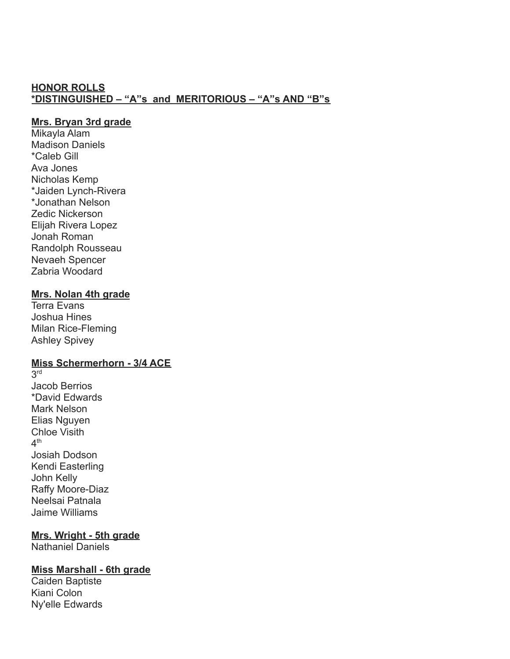#### **HONOR ROLLS \*DISTINGUISHED – "A"s and MERITORIOUS – "A"s AND "B"s**

#### **Mrs. Bryan 3rd grade**

Mikayla Alam Madison Daniels \*Caleb Gill Ava Jones Nicholas Kemp \*Jaiden Lynch-Rivera \*Jonathan Nelson Zedic Nickerson Elijah Rivera Lopez Jonah Roman Randolph Rousseau Nevaeh Spencer Zabria Woodard

#### **Mrs. Nolan 4th grade**

Terra Evans Joshua Hines Milan Rice-Fleming Ashley Spivey

#### **Miss Schermerhorn - 3/4 ACE**

3 rd Jacob Berrios \*David Edwards Mark Nelson Elias Nguyen Chloe Visith  $4<sup>th</sup>$ Josiah Dodson Kendi Easterling John Kelly Raffy Moore-Diaz Neelsai Patnala Jaime Williams

#### **Mrs. Wright - 5th grade**

Nathaniel Daniels

#### **Miss Marshall - 6th grade**

Caiden Baptiste Kiani Colon Ny'elle Edwards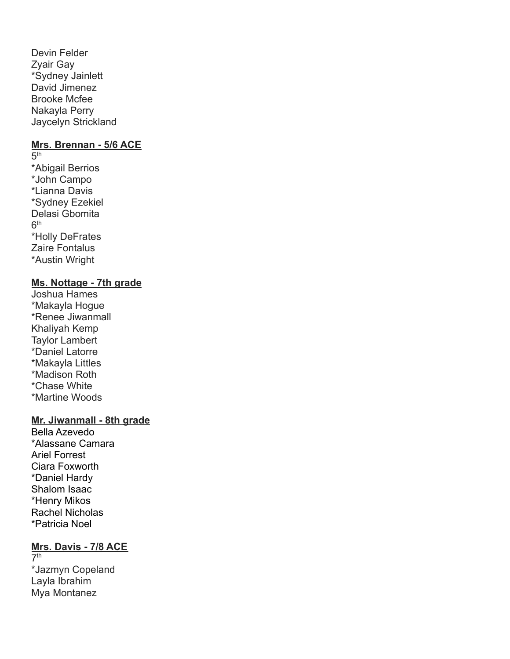Devin Felder Zyair Gay \*Sydney Jainlett David Jimenez Brooke Mcfee Nakayla Perry Jaycelyn Strickland

#### **Mrs. Brennan - 5/6 ACE**

 $5<sup>th</sup>$ \*Abigail Berrios \*John Campo \*Lianna Davis \*Sydney Ezekiel Delasi Gbomita  $6<sup>th</sup>$ \*Holly DeFrates Zaire Fontalus \*Austin Wright

#### **Ms. Nottage - 7th grade**

Joshua Hames \*Makayla Hogue \*Renee Jiwanmall Khaliyah Kemp Taylor Lambert \*Daniel Latorre \*Makayla Littles \*Madison Roth \*Chase White \*Martine Woods

#### **Mr. Jiwanmall - 8th grade**

Bella Azevedo \*Alassane Camara Ariel Forrest Ciara Foxworth \*Daniel Hardy Shalom Isaac \*Henry Mikos Rachel Nicholas \*Patricia Noel

#### **Mrs. Davis - 7/8 ACE**

 $7<sup>th</sup>$ \*Jazmyn Copeland Layla Ibrahim Mya Montanez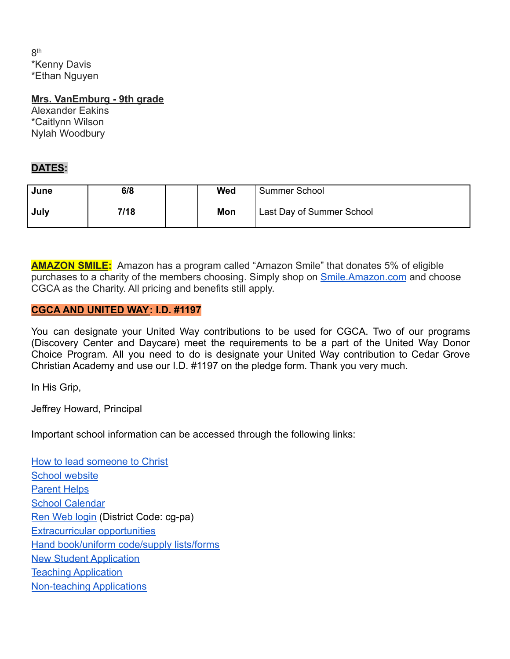$8<sup>th</sup>$ \*Kenny Davis \*Ethan Nguyen

#### **Mrs. VanEmburg - 9th grade**

Alexander Eakins \*Caitlynn Wilson Nylah Woodbury

### **DATES:**

| June | 6/8  | <b>Wed</b> | <b>Summer School</b>      |
|------|------|------------|---------------------------|
| July | 7/18 | Mon        | Last Day of Summer School |

**AMAZON SMILE:** Amazon has a program called "Amazon Smile" that donates 5% of eligible purchases to a charity of the members choosing. Simply shop on **[Smile.Amazon.com](http://smile.amazon.com/)** and choose CGCA as the Charity. All pricing and benefits still apply.

#### **CGCA AND UNITED WAY: I.D. #1197**

You can designate your United Way contributions to be used for CGCA. Two of our programs (Discovery Center and Daycare) meet the requirements to be a part of the United Way Donor Choice Program. All you need to do is designate your United Way contribution to Cedar Grove Christian Academy and use our I.D. #1197 on the pledge form. Thank you very much.

In His Grip,

Jeffrey Howard, Principal

Important school information can be accessed through the following links:

[How to lead someone to Christ](https://www.cgca.org/the-good-news/) [School website](http://www.cgca.org/) [Parent Helps](https://www.cgca.org/parent-resources/) **[School Calendar](https://www.cgca.org/current-families/calendar/)** [Ren Web login](https://logins2.renweb.com/logins/ParentsWeb-Login.aspx) (District Code: cg-pa) [Extracurricular opportunities](https://www.cgca.org/extracurricular/) [Hand book/uniform code/supply lists/forms](https://www.cgca.org/student-life/) [New Student Application](https://www.cgca.org/prospective-families/application-for-enrollment/) [Teaching Application](https://www.cgca.org/wp-content/uploads/2021/02/teacher-app-without-step-sale.pdf) [Non-teaching Applications](https://www.cgca.org/wp-content/uploads/2021/02/Non-Teaching-Application.pdf)